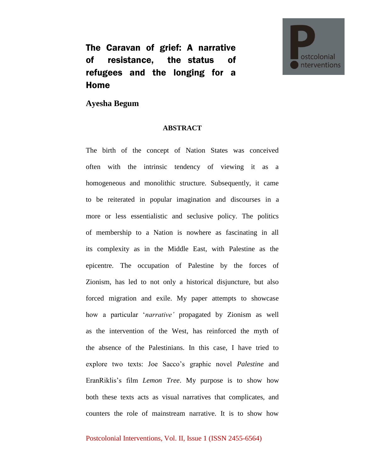The Caravan of grief: A narrative of resistance, the status of refugees and the longing for a Home



**Ayesha Begum**

## **ABSTRACT**

The birth of the concept of Nation States was conceived often with the intrinsic tendency of viewing it as a homogeneous and monolithic structure. Subsequently, it came to be reiterated in popular imagination and discourses in a more or less essentialistic and seclusive policy. The politics of membership to a Nation is nowhere as fascinating in all its complexity as in the Middle East, with Palestine as the epicentre. The occupation of Palestine by the forces of Zionism, has led to not only a historical disjuncture, but also forced migration and exile. My paper attempts to showcase how a particular '*narrative'* propagated by Zionism as well as the intervention of the West, has reinforced the myth of the absence of the Palestinians. In this case, I have tried to explore two texts: Joe Sacco's graphic novel *Palestine* and EranRiklis's film *Lemon Tree*. My purpose is to show how both these texts acts as visual narratives that complicates, and counters the role of mainstream narrative. It is to show how